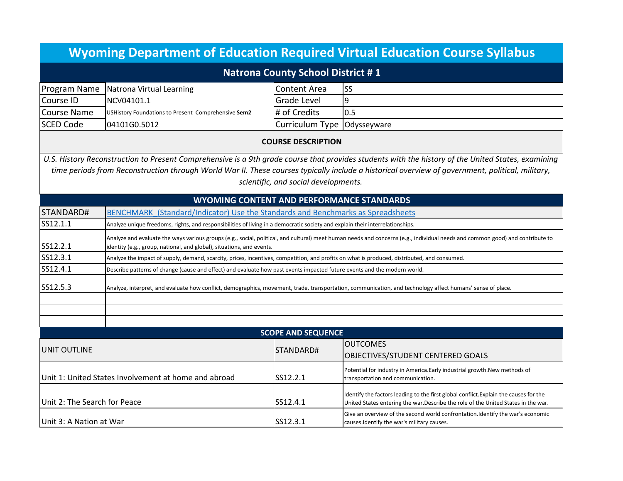| <b>Wyoming Department of Education Required Virtual Education Course Syllabus</b> |                                                                                                                                                                                                                                                        |                                      |                                                                                                                                                                                                                                                                                                        |  |  |
|-----------------------------------------------------------------------------------|--------------------------------------------------------------------------------------------------------------------------------------------------------------------------------------------------------------------------------------------------------|--------------------------------------|--------------------------------------------------------------------------------------------------------------------------------------------------------------------------------------------------------------------------------------------------------------------------------------------------------|--|--|
| Natrona County School District #1                                                 |                                                                                                                                                                                                                                                        |                                      |                                                                                                                                                                                                                                                                                                        |  |  |
| Program Name                                                                      | Natrona Virtual Learning                                                                                                                                                                                                                               | Content Area                         | SS                                                                                                                                                                                                                                                                                                     |  |  |
| Course ID                                                                         | NCV04101.1                                                                                                                                                                                                                                             | <b>Grade Level</b>                   | 9                                                                                                                                                                                                                                                                                                      |  |  |
| <b>Course Name</b>                                                                | USHistory Foundations to Present Comprehensive Sem2                                                                                                                                                                                                    | # of Credits                         | 0.5                                                                                                                                                                                                                                                                                                    |  |  |
| <b>SCED Code</b>                                                                  | 04101G0.5012                                                                                                                                                                                                                                           | Curriculum Type   Odysseyware        |                                                                                                                                                                                                                                                                                                        |  |  |
| <b>COURSE DESCRIPTION</b>                                                         |                                                                                                                                                                                                                                                        |                                      |                                                                                                                                                                                                                                                                                                        |  |  |
|                                                                                   |                                                                                                                                                                                                                                                        | scientific, and social developments. | U.S. History Reconstruction to Present Comprehensive is a 9th grade course that provides students with the history of the United States, examining<br>time periods from Reconstruction through World War II. These courses typically include a historical overview of government, political, military, |  |  |
| <b>WYOMING CONTENT AND PERFORMANCE STANDARDS</b>                                  |                                                                                                                                                                                                                                                        |                                      |                                                                                                                                                                                                                                                                                                        |  |  |
| STANDARD#                                                                         | BENCHMARK (Standard/Indicator) Use the Standards and Benchmarks as Spreadsheets                                                                                                                                                                        |                                      |                                                                                                                                                                                                                                                                                                        |  |  |
| SS12.1.1                                                                          | Analyze unique freedoms, rights, and responsibilities of living in a democratic society and explain their interrelationships.                                                                                                                          |                                      |                                                                                                                                                                                                                                                                                                        |  |  |
| SS12.2.1                                                                          | Analyze and evaluate the ways various groups (e.g., social, political, and cultural) meet human needs and concerns (e.g., individual needs and common good) and contribute to<br>identity (e.g., group, national, and global), situations, and events. |                                      |                                                                                                                                                                                                                                                                                                        |  |  |
| SS12.3.1                                                                          | Analyze the impact of supply, demand, scarcity, prices, incentives, competition, and profits on what is produced, distributed, and consumed.                                                                                                           |                                      |                                                                                                                                                                                                                                                                                                        |  |  |
| SS12.4.1                                                                          | Describe patterns of change (cause and effect) and evaluate how past events impacted future events and the modern world.                                                                                                                               |                                      |                                                                                                                                                                                                                                                                                                        |  |  |
| SS12.5.3                                                                          | Analyze, interpret, and evaluate how conflict, demographics, movement, trade, transportation, communication, and technology affect humans' sense of place.                                                                                             |                                      |                                                                                                                                                                                                                                                                                                        |  |  |
|                                                                                   |                                                                                                                                                                                                                                                        |                                      |                                                                                                                                                                                                                                                                                                        |  |  |
| <b>SCOPE AND SEQUENCE</b>                                                         |                                                                                                                                                                                                                                                        |                                      |                                                                                                                                                                                                                                                                                                        |  |  |
|                                                                                   |                                                                                                                                                                                                                                                        |                                      | <b>OUTCOMES</b>                                                                                                                                                                                                                                                                                        |  |  |
| UNIT OUTLINE                                                                      |                                                                                                                                                                                                                                                        | STANDARD#                            | OBJECTIVES/STUDENT CENTERED GOALS                                                                                                                                                                                                                                                                      |  |  |
| Unit 1: United States Involvement at home and abroad                              |                                                                                                                                                                                                                                                        | SS12.2.1                             | Potential for industry in America.Early industrial growth.New methods of<br>transportation and communication.                                                                                                                                                                                          |  |  |
| Unit 2: The Search for Peace                                                      |                                                                                                                                                                                                                                                        | SS12.4.1                             | Identify the factors leading to the first global conflict. Explain the causes for the<br>United States entering the war. Describe the role of the United States in the war.                                                                                                                            |  |  |
| Unit 3: A Nation at War                                                           |                                                                                                                                                                                                                                                        | SS12.3.1                             | Give an overview of the second world confrontation. Identify the war's economic<br>causes. Identify the war's military causes.                                                                                                                                                                         |  |  |